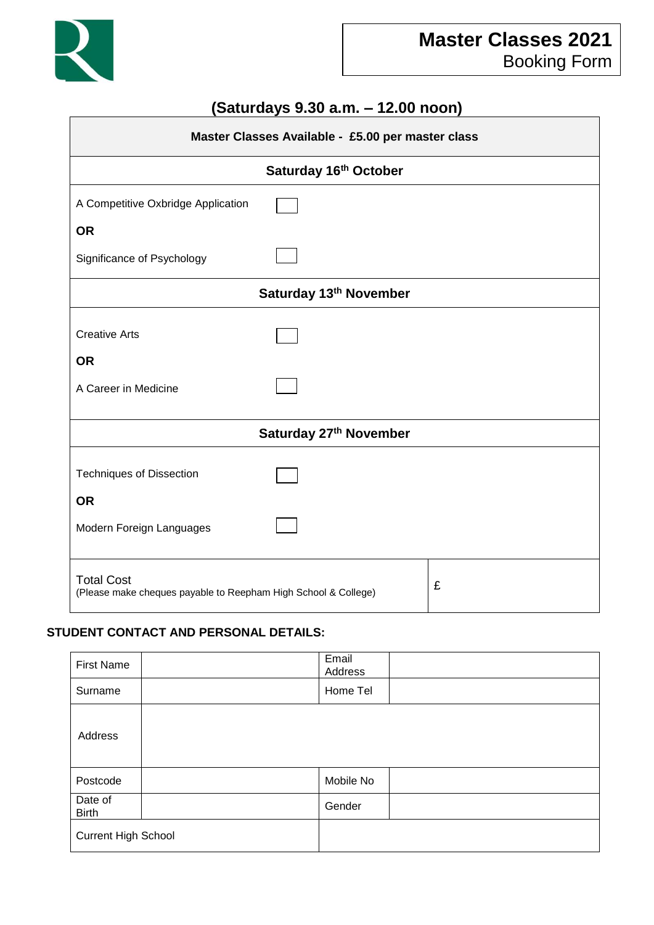

# **(Saturdays 9.30 a.m. – 12.00 noon)**

| Master Classes Available - £5.00 per master class                                   |  |   |  |  |  |
|-------------------------------------------------------------------------------------|--|---|--|--|--|
| Saturday 16th October                                                               |  |   |  |  |  |
| A Competitive Oxbridge Application                                                  |  |   |  |  |  |
| <b>OR</b>                                                                           |  |   |  |  |  |
| Significance of Psychology                                                          |  |   |  |  |  |
| Saturday 13th November                                                              |  |   |  |  |  |
| <b>Creative Arts</b>                                                                |  |   |  |  |  |
| <b>OR</b>                                                                           |  |   |  |  |  |
| A Career in Medicine                                                                |  |   |  |  |  |
| Saturday 27th November                                                              |  |   |  |  |  |
| <b>Techniques of Dissection</b>                                                     |  |   |  |  |  |
| <b>OR</b>                                                                           |  |   |  |  |  |
| Modern Foreign Languages                                                            |  |   |  |  |  |
| <b>Total Cost</b><br>(Please make cheques payable to Reepham High School & College) |  | £ |  |  |  |

## **STUDENT CONTACT AND PERSONAL DETAILS:**

| <b>First Name</b>          | Email<br>Address |
|----------------------------|------------------|
| Surname                    | Home Tel         |
| Address                    |                  |
| Postcode                   | Mobile No        |
| Date of<br><b>Birth</b>    | Gender           |
| <b>Current High School</b> |                  |